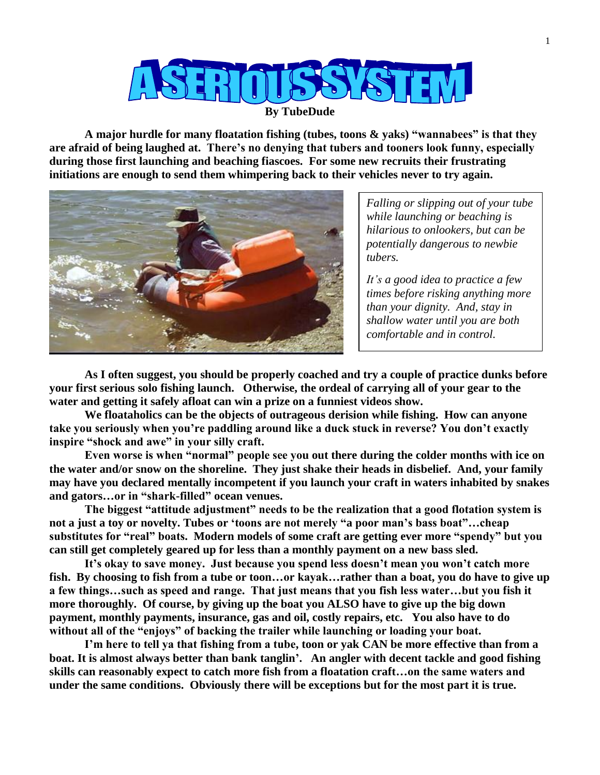

**By TubeDude**

**A major hurdle for many floatation fishing (tubes, toons & yaks) "wannabees" is that they are afraid of being laughed at. There's no denying that tubers and tooners look funny, especially during those first launching and beaching fiascoes. For some new recruits their frustrating initiations are enough to send them whimpering back to their vehicles never to try again.** 



*Falling or slipping out of your tube while launching or beaching is hilarious to onlookers, but can be potentially dangerous to newbie tubers.*

*It's a good idea to practice a few times before risking anything more than your dignity. And, stay in shallow water until you are both comfortable and in control.*

**As I often suggest, you should be properly coached and try a couple of practice dunks before your first serious solo fishing launch. Otherwise, the ordeal of carrying all of your gear to the water and getting it safely afloat can win a prize on a funniest videos show.** 

**We floataholics can be the objects of outrageous derision while fishing. How can anyone take you seriously when you're paddling around like a duck stuck in reverse? You don't exactly inspire "shock and awe" in your silly craft.** 

**Even worse is when "normal" people see you out there during the colder months with ice on the water and/or snow on the shoreline. They just shake their heads in disbelief. And, your family may have you declared mentally incompetent if you launch your craft in waters inhabited by snakes and gators…or in "shark-filled" ocean venues.**

**The biggest "attitude adjustment" needs to be the realization that a good flotation system is not a just a toy or novelty. Tubes or 'toons are not merely "a poor man's bass boat"…cheap substitutes for "real" boats. Modern models of some craft are getting ever more "spendy" but you can still get completely geared up for less than a monthly payment on a new bass sled.** 

**It's okay to save money. Just because you spend less doesn't mean you won't catch more fish. By choosing to fish from a tube or toon…or kayak…rather than a boat, you do have to give up a few things…such as speed and range. That just means that you fish less water…but you fish it more thoroughly. Of course, by giving up the boat you ALSO have to give up the big down payment, monthly payments, insurance, gas and oil, costly repairs, etc. You also have to do without all of the "enjoys" of backing the trailer while launching or loading your boat.**

**I'm here to tell ya that fishing from a tube, toon or yak CAN be more effective than from a boat. It is almost always better than bank tanglin'. An angler with decent tackle and good fishing skills can reasonably expect to catch more fish from a floatation craft…on the same waters and under the same conditions. Obviously there will be exceptions but for the most part it is true.**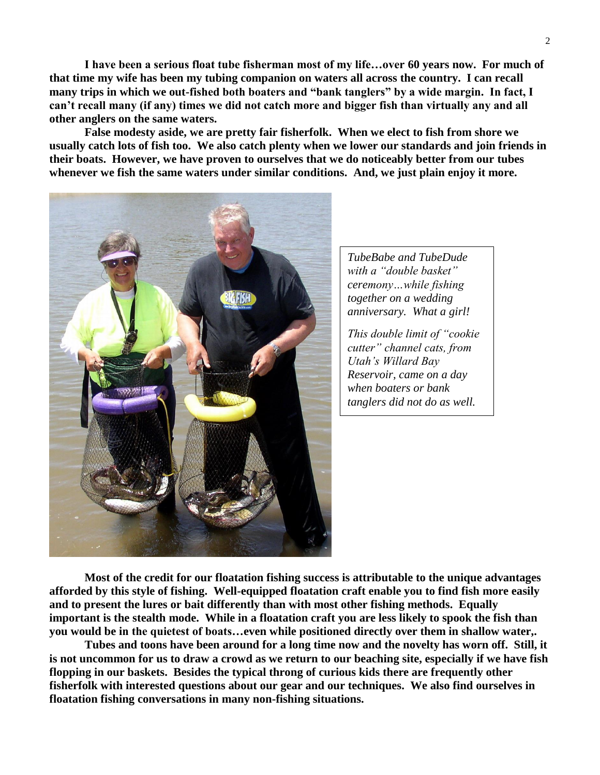**I have been a serious float tube fisherman most of my life…over 60 years now. For much of that time my wife has been my tubing companion on waters all across the country. I can recall many trips in which we out-fished both boaters and "bank tanglers" by a wide margin. In fact, I can't recall many (if any) times we did not catch more and bigger fish than virtually any and all other anglers on the same waters.**

**False modesty aside, we are pretty fair fisherfolk. When we elect to fish from shore we usually catch lots of fish too. We also catch plenty when we lower our standards and join friends in their boats. However, we have proven to ourselves that we do noticeably better from our tubes whenever we fish the same waters under similar conditions. And, we just plain enjoy it more.**



*TubeBabe and TubeDude with a "double basket" ceremony…while fishing together on a wedding anniversary. What a girl!*

*This double limit of "cookie cutter" channel cats, from Utah's Willard Bay Reservoir, came on a day when boaters or bank tanglers did not do as well.*

**Most of the credit for our floatation fishing success is attributable to the unique advantages afforded by this style of fishing. Well-equipped floatation craft enable you to find fish more easily and to present the lures or bait differently than with most other fishing methods. Equally important is the stealth mode. While in a floatation craft you are less likely to spook the fish than you would be in the quietest of boats…even while positioned directly over them in shallow water,.**

**Tubes and toons have been around for a long time now and the novelty has worn off. Still, it is not uncommon for us to draw a crowd as we return to our beaching site, especially if we have fish flopping in our baskets. Besides the typical throng of curious kids there are frequently other fisherfolk with interested questions about our gear and our techniques. We also find ourselves in floatation fishing conversations in many non-fishing situations.**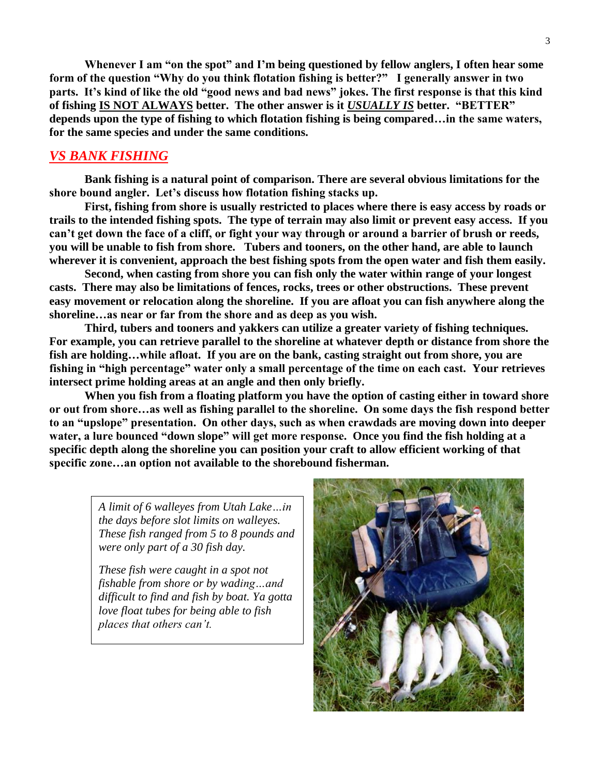**Whenever I am "on the spot" and I'm being questioned by fellow anglers, I often hear some form of the question "Why do you think flotation fishing is better?" I generally answer in two parts. It's kind of like the old "good news and bad news" jokes. The first response is that this kind of fishing IS NOT ALWAYS better. The other answer is it** *USUALLY IS* **better. "BETTER" depends upon the type of fishing to which flotation fishing is being compared…in the same waters, for the same species and under the same conditions.**

## *VS BANK FISHING*

**Bank fishing is a natural point of comparison. There are several obvious limitations for the shore bound angler. Let's discuss how flotation fishing stacks up.**

**First, fishing from shore is usually restricted to places where there is easy access by roads or trails to the intended fishing spots. The type of terrain may also limit or prevent easy access. If you can't get down the face of a cliff, or fight your way through or around a barrier of brush or reeds, you will be unable to fish from shore. Tubers and tooners, on the other hand, are able to launch wherever it is convenient, approach the best fishing spots from the open water and fish them easily.**

**Second, when casting from shore you can fish only the water within range of your longest casts. There may also be limitations of fences, rocks, trees or other obstructions. These prevent easy movement or relocation along the shoreline. If you are afloat you can fish anywhere along the shoreline…as near or far from the shore and as deep as you wish.**

**Third, tubers and tooners and yakkers can utilize a greater variety of fishing techniques. For example, you can retrieve parallel to the shoreline at whatever depth or distance from shore the fish are holding…while afloat. If you are on the bank, casting straight out from shore, you are fishing in "high percentage" water only a small percentage of the time on each cast. Your retrieves intersect prime holding areas at an angle and then only briefly.**

**When you fish from a floating platform you have the option of casting either in toward shore or out from shore…as well as fishing parallel to the shoreline. On some days the fish respond better to an "upslope" presentation. On other days, such as when crawdads are moving down into deeper water, a lure bounced "down slope" will get more response. Once you find the fish holding at a specific depth along the shoreline you can position your craft to allow efficient working of that specific zone…an option not available to the shorebound fisherman.**

*A limit of 6 walleyes from Utah Lake…in the days before slot limits on walleyes. These fish ranged from 5 to 8 pounds and were only part of a 30 fish day.* 

*These fish were caught in a spot not fishable from shore or by wading…and difficult to find and fish by boat. Ya gotta love float tubes for being able to fish places that others can't.* 

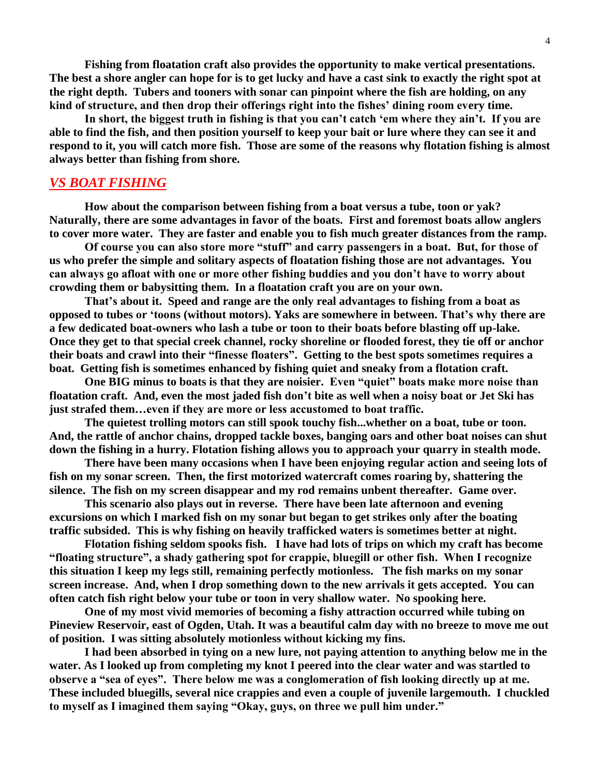**Fishing from floatation craft also provides the opportunity to make vertical presentations. The best a shore angler can hope for is to get lucky and have a cast sink to exactly the right spot at the right depth. Tubers and tooners with sonar can pinpoint where the fish are holding, on any kind of structure, and then drop their offerings right into the fishes' dining room every time.**

**In short, the biggest truth in fishing is that you can't catch 'em where they ain't. If you are able to find the fish, and then position yourself to keep your bait or lure where they can see it and respond to it, you will catch more fish. Those are some of the reasons why flotation fishing is almost always better than fishing from shore.**

## *VS BOAT FISHING*

**How about the comparison between fishing from a boat versus a tube, toon or yak? Naturally, there are some advantages in favor of the boats. First and foremost boats allow anglers to cover more water. They are faster and enable you to fish much greater distances from the ramp.**

**Of course you can also store more "stuff" and carry passengers in a boat. But, for those of us who prefer the simple and solitary aspects of floatation fishing those are not advantages. You can always go afloat with one or more other fishing buddies and you don't have to worry about crowding them or babysitting them. In a floatation craft you are on your own.**

**That's about it. Speed and range are the only real advantages to fishing from a boat as opposed to tubes or 'toons (without motors). Yaks are somewhere in between. That's why there are a few dedicated boat-owners who lash a tube or toon to their boats before blasting off up-lake. Once they get to that special creek channel, rocky shoreline or flooded forest, they tie off or anchor their boats and crawl into their "finesse floaters". Getting to the best spots sometimes requires a boat. Getting fish is sometimes enhanced by fishing quiet and sneaky from a flotation craft.**

**One BIG minus to boats is that they are noisier. Even "quiet" boats make more noise than floatation craft. And, even the most jaded fish don't bite as well when a noisy boat or Jet Ski has just strafed them…even if they are more or less accustomed to boat traffic.**

**The quietest trolling motors can still spook touchy fish...whether on a boat, tube or toon. And, the rattle of anchor chains, dropped tackle boxes, banging oars and other boat noises can shut down the fishing in a hurry. Flotation fishing allows you to approach your quarry in stealth mode.**

**There have been many occasions when I have been enjoying regular action and seeing lots of fish on my sonar screen. Then, the first motorized watercraft comes roaring by, shattering the silence. The fish on my screen disappear and my rod remains unbent thereafter. Game over.** 

**This scenario also plays out in reverse. There have been late afternoon and evening excursions on which I marked fish on my sonar but began to get strikes only after the boating traffic subsided. This is why fishing on heavily trafficked waters is sometimes better at night.**

**Flotation fishing seldom spooks fish. I have had lots of trips on which my craft has become "floating structure", a shady gathering spot for crappie, bluegill or other fish. When I recognize this situation I keep my legs still, remaining perfectly motionless. The fish marks on my sonar screen increase. And, when I drop something down to the new arrivals it gets accepted. You can often catch fish right below your tube or toon in very shallow water. No spooking here.** 

**One of my most vivid memories of becoming a fishy attraction occurred while tubing on Pineview Reservoir, east of Ogden, Utah. It was a beautiful calm day with no breeze to move me out of position. I was sitting absolutely motionless without kicking my fins.** 

**I had been absorbed in tying on a new lure, not paying attention to anything below me in the water. As I looked up from completing my knot I peered into the clear water and was startled to observe a "sea of eyes". There below me was a conglomeration of fish looking directly up at me. These included bluegills, several nice crappies and even a couple of juvenile largemouth. I chuckled to myself as I imagined them saying "Okay, guys, on three we pull him under."**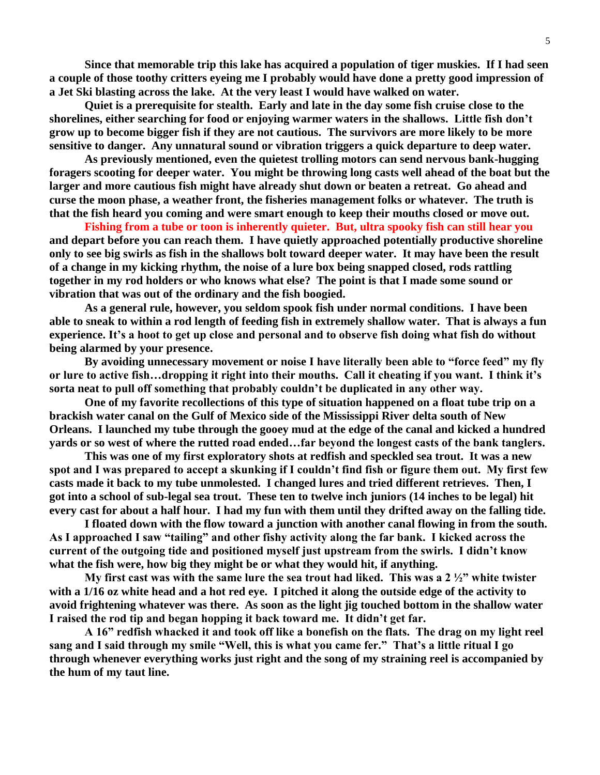**Since that memorable trip this lake has acquired a population of tiger muskies. If I had seen a couple of those toothy critters eyeing me I probably would have done a pretty good impression of a Jet Ski blasting across the lake. At the very least I would have walked on water.**

**Quiet is a prerequisite for stealth. Early and late in the day some fish cruise close to the shorelines, either searching for food or enjoying warmer waters in the shallows. Little fish don't grow up to become bigger fish if they are not cautious. The survivors are more likely to be more sensitive to danger. Any unnatural sound or vibration triggers a quick departure to deep water.**

**As previously mentioned, even the quietest trolling motors can send nervous bank-hugging foragers scooting for deeper water. You might be throwing long casts well ahead of the boat but the larger and more cautious fish might have already shut down or beaten a retreat. Go ahead and curse the moon phase, a weather front, the fisheries management folks or whatever. The truth is that the fish heard you coming and were smart enough to keep their mouths closed or move out.**

**Fishing from a tube or toon is inherently quieter. But, ultra spooky fish can still hear you and depart before you can reach them. I have quietly approached potentially productive shoreline only to see big swirls as fish in the shallows bolt toward deeper water. It may have been the result of a change in my kicking rhythm, the noise of a lure box being snapped closed, rods rattling together in my rod holders or who knows what else? The point is that I made some sound or vibration that was out of the ordinary and the fish boogied.** 

**As a general rule, however, you seldom spook fish under normal conditions. I have been able to sneak to within a rod length of feeding fish in extremely shallow water. That is always a fun experience. It's a hoot to get up close and personal and to observe fish doing what fish do without being alarmed by your presence.** 

**By avoiding unnecessary movement or noise I have literally been able to "force feed" my fly or lure to active fish…dropping it right into their mouths. Call it cheating if you want. I think it's sorta neat to pull off something that probably couldn't be duplicated in any other way.**

**One of my favorite recollections of this type of situation happened on a float tube trip on a brackish water canal on the Gulf of Mexico side of the Mississippi River delta south of New Orleans. I launched my tube through the gooey mud at the edge of the canal and kicked a hundred yards or so west of where the rutted road ended…far beyond the longest casts of the bank tanglers.** 

**This was one of my first exploratory shots at redfish and speckled sea trout. It was a new spot and I was prepared to accept a skunking if I couldn't find fish or figure them out. My first few casts made it back to my tube unmolested. I changed lures and tried different retrieves. Then, I got into a school of sub-legal sea trout. These ten to twelve inch juniors (14 inches to be legal) hit every cast for about a half hour. I had my fun with them until they drifted away on the falling tide.** 

**I floated down with the flow toward a junction with another canal flowing in from the south. As I approached I saw "tailing" and other fishy activity along the far bank. I kicked across the current of the outgoing tide and positioned myself just upstream from the swirls. I didn't know what the fish were, how big they might be or what they would hit, if anything.**

**My first cast was with the same lure the sea trout had liked. This was a 2 ½" white twister with a 1/16 oz white head and a hot red eye. I pitched it along the outside edge of the activity to avoid frightening whatever was there. As soon as the light jig touched bottom in the shallow water I raised the rod tip and began hopping it back toward me. It didn't get far.** 

**A 16" redfish whacked it and took off like a bonefish on the flats. The drag on my light reel sang and I said through my smile "Well, this is what you came fer." That's a little ritual I go through whenever everything works just right and the song of my straining reel is accompanied by the hum of my taut line.**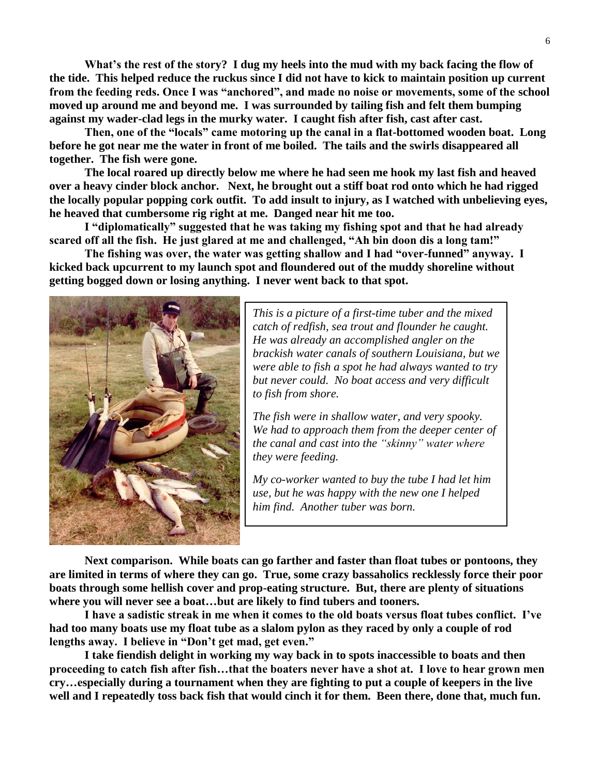**What's the rest of the story? I dug my heels into the mud with my back facing the flow of the tide. This helped reduce the ruckus since I did not have to kick to maintain position up current from the feeding reds. Once I was "anchored", and made no noise or movements, some of the school moved up around me and beyond me. I was surrounded by tailing fish and felt them bumping against my wader-clad legs in the murky water. I caught fish after fish, cast after cast.**

**Then, one of the "locals" came motoring up the canal in a flat-bottomed wooden boat. Long before he got near me the water in front of me boiled. The tails and the swirls disappeared all together. The fish were gone.**

**The local roared up directly below me where he had seen me hook my last fish and heaved over a heavy cinder block anchor. Next, he brought out a stiff boat rod onto which he had rigged the locally popular popping cork outfit. To add insult to injury, as I watched with unbelieving eyes, he heaved that cumbersome rig right at me. Danged near hit me too.** 

**I "diplomatically" suggested that he was taking my fishing spot and that he had already scared off all the fish. He just glared at me and challenged, "Ah bin doon dis a long tam!"** 

**The fishing was over, the water was getting shallow and I had "over-funned" anyway. I kicked back upcurrent to my launch spot and floundered out of the muddy shoreline without getting bogged down or losing anything. I never went back to that spot.**



*This is a picture of a first-time tuber and the mixed catch of redfish, sea trout and flounder he caught. He was already an accomplished angler on the brackish water canals of southern Louisiana, but we were able to fish a spot he had always wanted to try but never could. No boat access and very difficult to fish from shore.*

*The fish were in shallow water, and very spooky. We had to approach them from the deeper center of the canal and cast into the "skinny" water where they were feeding.* 

*My co-worker wanted to buy the tube I had let him use, but he was happy with the new one I helped him find. Another tuber was born.*

**Next comparison. While boats can go farther and faster than float tubes or pontoons, they are limited in terms of where they can go. True, some crazy bassaholics recklessly force their poor boats through some hellish cover and prop-eating structure. But, there are plenty of situations where you will never see a boat…but are likely to find tubers and tooners.**

**I have a sadistic streak in me when it comes to the old boats versus float tubes conflict. I've had too many boats use my float tube as a slalom pylon as they raced by only a couple of rod lengths away. I believe in "Don't get mad, get even."** 

**I take fiendish delight in working my way back in to spots inaccessible to boats and then proceeding to catch fish after fish…that the boaters never have a shot at. I love to hear grown men cry…especially during a tournament when they are fighting to put a couple of keepers in the live well and I repeatedly toss back fish that would cinch it for them. Been there, done that, much fun.**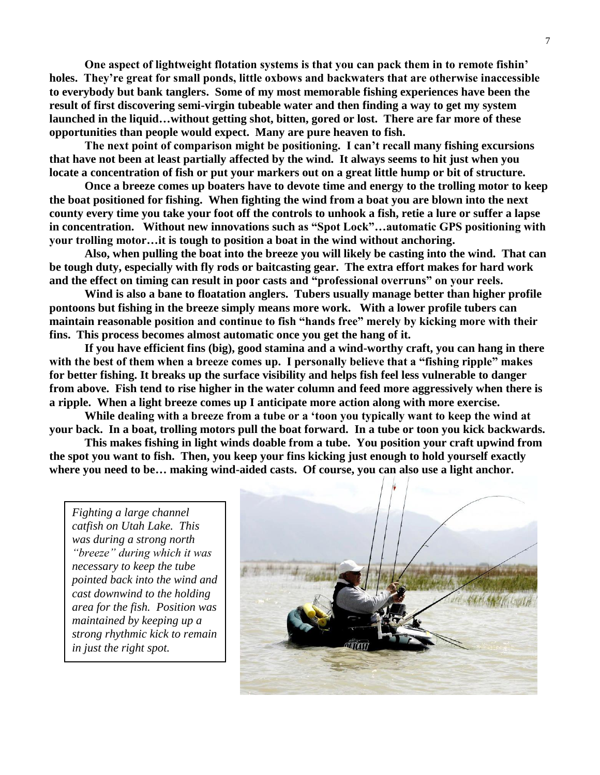**One aspect of lightweight flotation systems is that you can pack them in to remote fishin' holes. They're great for small ponds, little oxbows and backwaters that are otherwise inaccessible to everybody but bank tanglers. Some of my most memorable fishing experiences have been the result of first discovering semi-virgin tubeable water and then finding a way to get my system launched in the liquid…without getting shot, bitten, gored or lost. There are far more of these opportunities than people would expect. Many are pure heaven to fish.**

**The next point of comparison might be positioning. I can't recall many fishing excursions that have not been at least partially affected by the wind. It always seems to hit just when you locate a concentration of fish or put your markers out on a great little hump or bit of structure.**

**Once a breeze comes up boaters have to devote time and energy to the trolling motor to keep the boat positioned for fishing. When fighting the wind from a boat you are blown into the next county every time you take your foot off the controls to unhook a fish, retie a lure or suffer a lapse in concentration. Without new innovations such as "Spot Lock"…automatic GPS positioning with your trolling motor…it is tough to position a boat in the wind without anchoring.** 

**Also, when pulling the boat into the breeze you will likely be casting into the wind. That can be tough duty, especially with fly rods or baitcasting gear. The extra effort makes for hard work and the effect on timing can result in poor casts and "professional overruns" on your reels.** 

**Wind is also a bane to floatation anglers. Tubers usually manage better than higher profile pontoons but fishing in the breeze simply means more work. With a lower profile tubers can maintain reasonable position and continue to fish "hands free" merely by kicking more with their fins. This process becomes almost automatic once you get the hang of it.** 

**If you have efficient fins (big), good stamina and a wind-worthy craft, you can hang in there with the best of them when a breeze comes up. I personally believe that a "fishing ripple" makes for better fishing. It breaks up the surface visibility and helps fish feel less vulnerable to danger from above. Fish tend to rise higher in the water column and feed more aggressively when there is a ripple. When a light breeze comes up I anticipate more action along with more exercise.**

**While dealing with a breeze from a tube or a 'toon you typically want to keep the wind at your back. In a boat, trolling motors pull the boat forward. In a tube or toon you kick backwards.** 

**This makes fishing in light winds doable from a tube. You position your craft upwind from the spot you want to fish. Then, you keep your fins kicking just enough to hold yourself exactly where you need to be… making wind-aided casts. Of course, you can also use a light anchor.**

*Fighting a large channel catfish on Utah Lake. This was during a strong north "breeze" during which it was necessary to keep the tube pointed back into the wind and cast downwind to the holding area for the fish. Position was maintained by keeping up a strong rhythmic kick to remain in just the right spot.*

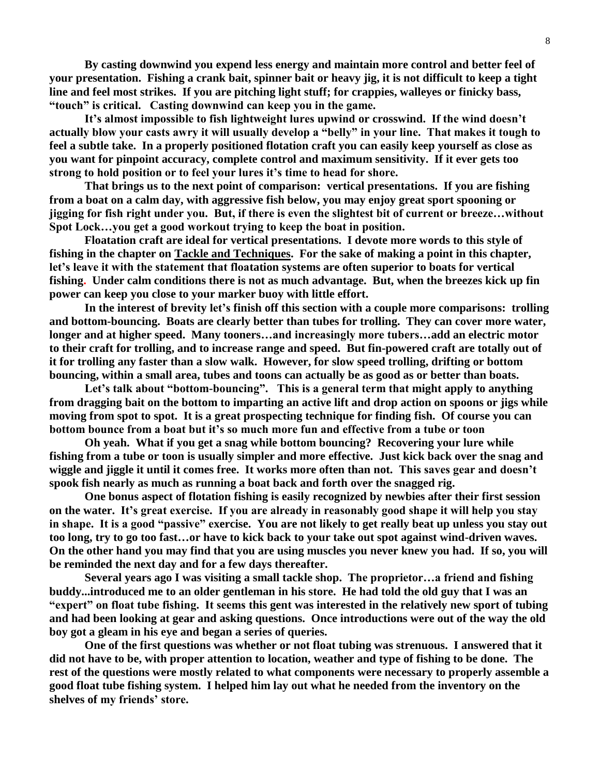**By casting downwind you expend less energy and maintain more control and better feel of your presentation. Fishing a crank bait, spinner bait or heavy jig, it is not difficult to keep a tight line and feel most strikes. If you are pitching light stuff; for crappies, walleyes or finicky bass, "touch" is critical. Casting downwind can keep you in the game.**

**It's almost impossible to fish lightweight lures upwind or crosswind. If the wind doesn't actually blow your casts awry it will usually develop a "belly" in your line. That makes it tough to feel a subtle take. In a properly positioned flotation craft you can easily keep yourself as close as you want for pinpoint accuracy, complete control and maximum sensitivity. If it ever gets too strong to hold position or to feel your lures it's time to head for shore.**

**That brings us to the next point of comparison: vertical presentations. If you are fishing from a boat on a calm day, with aggressive fish below, you may enjoy great sport spooning or jigging for fish right under you. But, if there is even the slightest bit of current or breeze…without Spot Lock…you get a good workout trying to keep the boat in position.** 

**Floatation craft are ideal for vertical presentations. I devote more words to this style of fishing in the chapter on Tackle and Techniques. For the sake of making a point in this chapter, let's leave it with the statement that floatation systems are often superior to boats for vertical fishing. Under calm conditions there is not as much advantage. But, when the breezes kick up fin power can keep you close to your marker buoy with little effort.**

**In the interest of brevity let's finish off this section with a couple more comparisons: trolling and bottom-bouncing. Boats are clearly better than tubes for trolling. They can cover more water, longer and at higher speed. Many tooners…and increasingly more tubers…add an electric motor to their craft for trolling, and to increase range and speed. But fin-powered craft are totally out of it for trolling any faster than a slow walk. However, for slow speed trolling, drifting or bottom bouncing, within a small area, tubes and toons can actually be as good as or better than boats.** 

**Let's talk about "bottom-bouncing". This is a general term that might apply to anything from dragging bait on the bottom to imparting an active lift and drop action on spoons or jigs while moving from spot to spot. It is a great prospecting technique for finding fish. Of course you can bottom bounce from a boat but it's so much more fun and effective from a tube or toon**

**Oh yeah. What if you get a snag while bottom bouncing? Recovering your lure while fishing from a tube or toon is usually simpler and more effective. Just kick back over the snag and wiggle and jiggle it until it comes free. It works more often than not. This saves gear and doesn't spook fish nearly as much as running a boat back and forth over the snagged rig.**

**One bonus aspect of flotation fishing is easily recognized by newbies after their first session on the water. It's great exercise. If you are already in reasonably good shape it will help you stay in shape. It is a good "passive" exercise. You are not likely to get really beat up unless you stay out too long, try to go too fast…or have to kick back to your take out spot against wind-driven waves. On the other hand you may find that you are using muscles you never knew you had. If so, you will be reminded the next day and for a few days thereafter.**

**Several years ago I was visiting a small tackle shop. The proprietor…a friend and fishing buddy...introduced me to an older gentleman in his store. He had told the old guy that I was an "expert" on float tube fishing. It seems this gent was interested in the relatively new sport of tubing and had been looking at gear and asking questions. Once introductions were out of the way the old boy got a gleam in his eye and began a series of queries.**

**One of the first questions was whether or not float tubing was strenuous. I answered that it did not have to be, with proper attention to location, weather and type of fishing to be done. The rest of the questions were mostly related to what components were necessary to properly assemble a good float tube fishing system. I helped him lay out what he needed from the inventory on the shelves of my friends' store.**